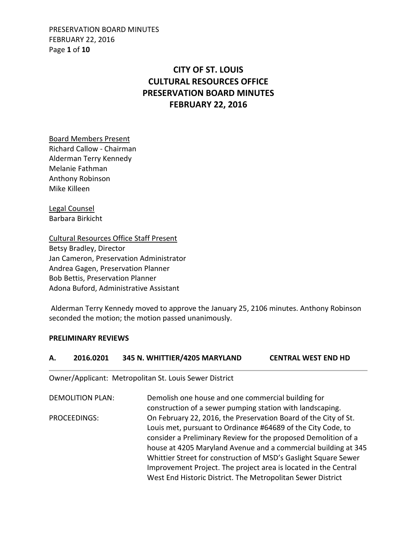PRESERVATION BOARD MINUTES FEBRUARY 22, 2016 Page **1** of **10**

# **CITY OF ST. LOUIS CULTURAL RESOURCES OFFICE PRESERVATION BOARD MINUTES FEBRUARY 22, 2016**

Board Members Present Richard Callow - Chairman Alderman Terry Kennedy Melanie Fathman Anthony Robinson Mike Killeen

Legal Counsel Barbara Birkicht

Cultural Resources Office Staff Present Betsy Bradley, Director Jan Cameron, Preservation Administrator Andrea Gagen, Preservation Planner Bob Bettis, Preservation Planner Adona Buford, Administrative Assistant

 Alderman Terry Kennedy moved to approve the January 25, 2106 minutes. Anthony Robinson seconded the motion; the motion passed unanimously.

**A. 2016.0201 345 N. WHITTIER/4205 MARYLAND CENTRAL WEST END HD** 

### **PRELIMINARY REVIEWS**

| А.           | ZUID.UZUI               | <b>343 IV. WHITTIER/4203 IVIANTLAIVD</b>                                                                                                                                                                                                                                                                                                | LEIVINAL WEST EIVD ND                                          |
|--------------|-------------------------|-----------------------------------------------------------------------------------------------------------------------------------------------------------------------------------------------------------------------------------------------------------------------------------------------------------------------------------------|----------------------------------------------------------------|
|              |                         | Owner/Applicant: Metropolitan St. Louis Sewer District                                                                                                                                                                                                                                                                                  |                                                                |
|              | <b>DEMOLITION PLAN:</b> | Demolish one house and one commercial building for<br>construction of a sewer pumping station with landscaping.                                                                                                                                                                                                                         |                                                                |
| PROCEEDINGS: |                         | On February 22, 2016, the Preservation Board of the City of St.<br>Louis met, pursuant to Ordinance #64689 of the City Code, to<br>consider a Preliminary Review for the proposed Demolition of a<br>Whittier Street for construction of MSD's Gaslight Square Sewer<br>Improvement Project. The project area is located in the Central | house at 4205 Maryland Avenue and a commercial building at 345 |
|              |                         | West End Historic District. The Metropolitan Sewer District                                                                                                                                                                                                                                                                             |                                                                |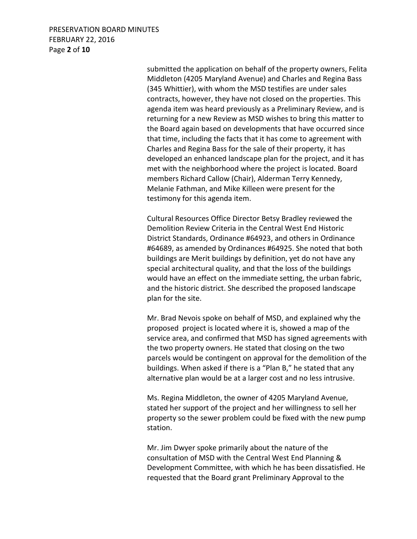### PRESERVATION BOARD MINUTES FEBRUARY 22, 2016 Page **2** of **10**

 submitted the application on behalf of the property owners, Felita Middleton (4205 Maryland Avenue) and Charles and Regina Bass (345 Whittier), with whom the MSD testifies are under sales contracts, however, they have not closed on the properties. This agenda item was heard previously as a Preliminary Review, and is returning for a new Review as MSD wishes to bring this matter to the Board again based on developments that have occurred since that time, including the facts that it has come to agreement with Charles and Regina Bass for the sale of their property, it has developed an enhanced landscape plan for the project, and it has met with the neighborhood where the project is located. Board members Richard Callow (Chair), Alderman Terry Kennedy, Melanie Fathman, and Mike Killeen were present for the testimony for this agenda item.

Cultural Resources Office Director Betsy Bradley reviewed the Demolition Review Criteria in the Central West End Historic District Standards, Ordinance #64923, and others in Ordinance #64689, as amended by Ordinances #64925. She noted that both buildings are Merit buildings by definition, yet do not have any special architectural quality, and that the loss of the buildings would have an effect on the immediate setting, the urban fabric, and the historic district. She described the proposed landscape plan for the site.

Mr. Brad Nevois spoke on behalf of MSD, and explained why the proposed project is located where it is, showed a map of the service area, and confirmed that MSD has signed agreements with the two property owners. He stated that closing on the two parcels would be contingent on approval for the demolition of the buildings. When asked if there is a "Plan B," he stated that any alternative plan would be at a larger cost and no less intrusive.

Ms. Regina Middleton, the owner of 4205 Maryland Avenue, stated her support of the project and her willingness to sell her property so the sewer problem could be fixed with the new pump station.

Mr. Jim Dwyer spoke primarily about the nature of the consultation of MSD with the Central West End Planning & Development Committee, with which he has been dissatisfied. He requested that the Board grant Preliminary Approval to the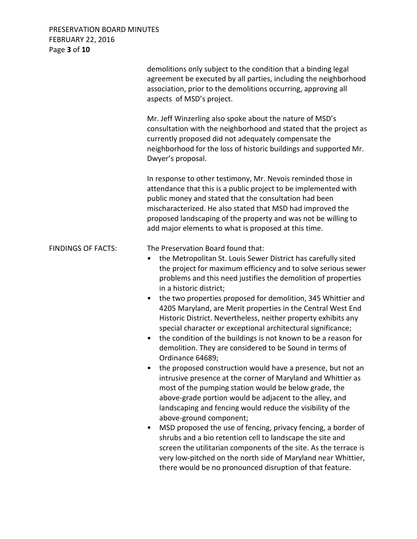## PRESERVATION BOARD MINUTES FEBRUARY 22, 2016 Page **3** of **10**

|                           | demolitions only subject to the condition that a binding legal<br>agreement be executed by all parties, including the neighborhood<br>association, prior to the demolitions occurring, approving all<br>aspects of MSD's project.                                                                                                                                                                                                                                                                                                                                                                                                                                                                                                                                                                                                                                                                                                                                                                                                                                                                                                                                                                                                                                                                                                                                                                 |
|---------------------------|---------------------------------------------------------------------------------------------------------------------------------------------------------------------------------------------------------------------------------------------------------------------------------------------------------------------------------------------------------------------------------------------------------------------------------------------------------------------------------------------------------------------------------------------------------------------------------------------------------------------------------------------------------------------------------------------------------------------------------------------------------------------------------------------------------------------------------------------------------------------------------------------------------------------------------------------------------------------------------------------------------------------------------------------------------------------------------------------------------------------------------------------------------------------------------------------------------------------------------------------------------------------------------------------------------------------------------------------------------------------------------------------------|
|                           | Mr. Jeff Winzerling also spoke about the nature of MSD's<br>consultation with the neighborhood and stated that the project as<br>currently proposed did not adequately compensate the<br>neighborhood for the loss of historic buildings and supported Mr.<br>Dwyer's proposal.                                                                                                                                                                                                                                                                                                                                                                                                                                                                                                                                                                                                                                                                                                                                                                                                                                                                                                                                                                                                                                                                                                                   |
|                           | In response to other testimony, Mr. Nevois reminded those in<br>attendance that this is a public project to be implemented with<br>public money and stated that the consultation had been<br>mischaracterized. He also stated that MSD had improved the<br>proposed landscaping of the property and was not be willing to<br>add major elements to what is proposed at this time.                                                                                                                                                                                                                                                                                                                                                                                                                                                                                                                                                                                                                                                                                                                                                                                                                                                                                                                                                                                                                 |
| <b>FINDINGS OF FACTS:</b> | The Preservation Board found that:<br>the Metropolitan St. Louis Sewer District has carefully sited<br>٠<br>the project for maximum efficiency and to solve serious sewer<br>problems and this need justifies the demolition of properties<br>in a historic district;<br>the two properties proposed for demolition, 345 Whittier and<br>$\bullet$<br>4205 Maryland, are Merit properties in the Central West End<br>Historic District. Nevertheless, neither property exhibits any<br>special character or exceptional architectural significance;<br>the condition of the buildings is not known to be a reason for<br>$\bullet$<br>demolition. They are considered to be Sound in terms of<br>Ordinance 64689;<br>the proposed construction would have a presence, but not an<br>intrusive presence at the corner of Maryland and Whittier as<br>most of the pumping station would be below grade, the<br>above-grade portion would be adjacent to the alley, and<br>landscaping and fencing would reduce the visibility of the<br>above-ground component;<br>MSD proposed the use of fencing, privacy fencing, a border of<br>٠<br>shrubs and a bio retention cell to landscape the site and<br>screen the utilitarian components of the site. As the terrace is<br>very low-pitched on the north side of Maryland near Whittier,<br>there would be no pronounced disruption of that feature. |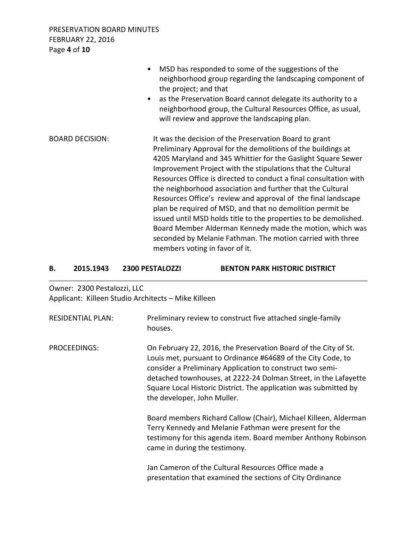PRESERVATION BOARD MINUTES FEBRUARY 22, 2016 Page **4** of **10**

|                        | MSD has responded to some of the suggestions of the<br>$\bullet$<br>neighborhood group regarding the landscaping component of<br>the project; and that<br>as the Preservation Board cannot delegate its authority to a<br>$\bullet$<br>neighborhood group, the Cultural Resources Office, as usual,<br>will review and approve the landscaping plan.                                                                                                                                                                                                                                                                                                                                                                                                   |
|------------------------|--------------------------------------------------------------------------------------------------------------------------------------------------------------------------------------------------------------------------------------------------------------------------------------------------------------------------------------------------------------------------------------------------------------------------------------------------------------------------------------------------------------------------------------------------------------------------------------------------------------------------------------------------------------------------------------------------------------------------------------------------------|
| <b>BOARD DECISION:</b> | It was the decision of the Preservation Board to grant<br>Preliminary Approval for the demolitions of the buildings at<br>4205 Maryland and 345 Whittier for the Gaslight Square Sewer<br>Improvement Project with the stipulations that the Cultural<br>Resources Office is directed to conduct a final consultation with<br>the neighborhood association and further that the Cultural<br>Resources Office's review and approval of the final landscape<br>plan be required of MSD, and that no demolition permit be<br>issued until MSD holds title to the properties to be demolished.<br>Board Member Alderman Kennedy made the motion, which was<br>seconded by Melanie Fathman. The motion carried with three<br>members voting in favor of it. |

| В. | 2015.1943                   | <b>2300 PESTALOZZI</b>                              | <b>BENTON PARK HISTORIC DISTRICT</b> |
|----|-----------------------------|-----------------------------------------------------|--------------------------------------|
|    | Owner: 2300 Pestalozzi, LLC | Applicant: Killeen Studio Architects – Mike Killeen |                                      |

| <b>RESIDENTIAL PLAN:</b> | Preliminary review to construct five attached single-family<br>houses.                                                                                                                                                                                                                                                                                             |
|--------------------------|--------------------------------------------------------------------------------------------------------------------------------------------------------------------------------------------------------------------------------------------------------------------------------------------------------------------------------------------------------------------|
| PROCEEDINGS:             | On February 22, 2016, the Preservation Board of the City of St.<br>Louis met, pursuant to Ordinance #64689 of the City Code, to<br>consider a Preliminary Application to construct two semi-<br>detached townhouses, at 2222-24 Dolman Street, in the Lafayette<br>Square Local Historic District. The application was submitted by<br>the developer, John Muller. |
|                          | Board members Richard Callow (Chair), Michael Killeen, Alderman<br>Terry Kennedy and Melanie Fathman were present for the<br>testimony for this agenda item. Board member Anthony Robinson<br>came in during the testimony.                                                                                                                                        |
|                          | Jan Cameron of the Cultural Resources Office made a<br>presentation that examined the sections of City Ordinance                                                                                                                                                                                                                                                   |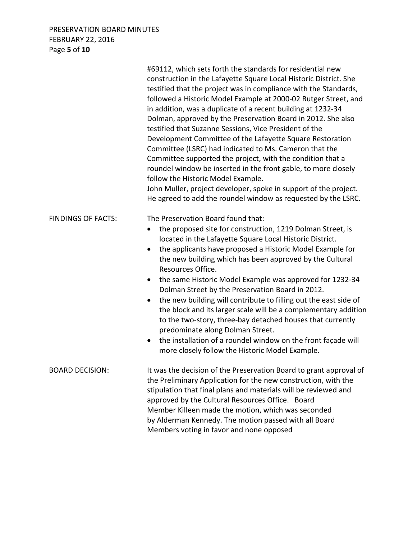### PRESERVATION BOARD MINUTES FEBRUARY 22, 2016 Page **5** of **10**

|                           | #69112, which sets forth the standards for residential new<br>construction in the Lafayette Square Local Historic District. She<br>testified that the project was in compliance with the Standards,<br>followed a Historic Model Example at 2000-02 Rutger Street, and<br>in addition, was a duplicate of a recent building at 1232-34<br>Dolman, approved by the Preservation Board in 2012. She also<br>testified that Suzanne Sessions, Vice President of the<br>Development Committee of the Lafayette Square Restoration<br>Committee (LSRC) had indicated to Ms. Cameron that the<br>Committee supported the project, with the condition that a<br>roundel window be inserted in the front gable, to more closely<br>follow the Historic Model Example.<br>John Muller, project developer, spoke in support of the project.<br>He agreed to add the roundel window as requested by the LSRC. |
|---------------------------|----------------------------------------------------------------------------------------------------------------------------------------------------------------------------------------------------------------------------------------------------------------------------------------------------------------------------------------------------------------------------------------------------------------------------------------------------------------------------------------------------------------------------------------------------------------------------------------------------------------------------------------------------------------------------------------------------------------------------------------------------------------------------------------------------------------------------------------------------------------------------------------------------|
| <b>FINDINGS OF FACTS:</b> | The Preservation Board found that:<br>the proposed site for construction, 1219 Dolman Street, is<br>located in the Lafayette Square Local Historic District.<br>the applicants have proposed a Historic Model Example for<br>$\bullet$<br>the new building which has been approved by the Cultural<br>Resources Office.                                                                                                                                                                                                                                                                                                                                                                                                                                                                                                                                                                            |
|                           | the same Historic Model Example was approved for 1232-34<br>Dolman Street by the Preservation Board in 2012.<br>the new building will contribute to filling out the east side of<br>the block and its larger scale will be a complementary addition<br>to the two-story, three-bay detached houses that currently<br>predominate along Dolman Street.<br>the installation of a roundel window on the front façade will<br>more closely follow the Historic Model Example.                                                                                                                                                                                                                                                                                                                                                                                                                          |
| <b>BOARD DECISION:</b>    | It was the decision of the Preservation Board to grant approval of<br>the Preliminary Application for the new construction, with the<br>stipulation that final plans and materials will be reviewed and<br>approved by the Cultural Resources Office. Board<br>Member Killeen made the motion, which was seconded<br>by Alderman Kennedy. The motion passed with all Board<br>Members voting in favor and none opposed                                                                                                                                                                                                                                                                                                                                                                                                                                                                             |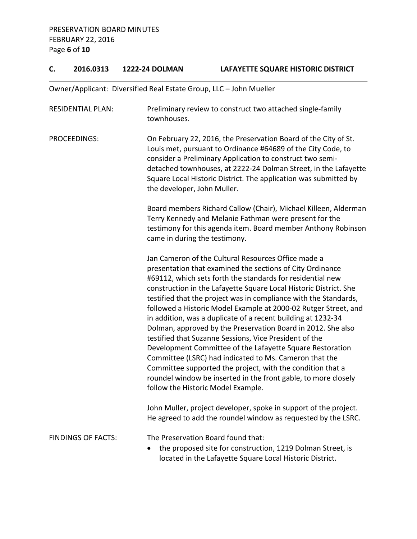## **C. 2016.0313 1222-24 DOLMAN LAFAYETTE SQUARE HISTORIC DISTRICT**

Owner/Applicant: Diversified Real Estate Group, LLC – John Mueller

| <b>RESIDENTIAL PLAN:</b>  | Preliminary review to construct two attached single-family<br>townhouses.                                                                                                                                                                                                                                                                                                                                                                                                                                                                                                                                                                                                                                                                                                                                                                                                         |  |  |
|---------------------------|-----------------------------------------------------------------------------------------------------------------------------------------------------------------------------------------------------------------------------------------------------------------------------------------------------------------------------------------------------------------------------------------------------------------------------------------------------------------------------------------------------------------------------------------------------------------------------------------------------------------------------------------------------------------------------------------------------------------------------------------------------------------------------------------------------------------------------------------------------------------------------------|--|--|
| PROCEEDINGS:              | On February 22, 2016, the Preservation Board of the City of St.<br>Louis met, pursuant to Ordinance #64689 of the City Code, to<br>consider a Preliminary Application to construct two semi-<br>detached townhouses, at 2222-24 Dolman Street, in the Lafayette<br>Square Local Historic District. The application was submitted by<br>the developer, John Muller.                                                                                                                                                                                                                                                                                                                                                                                                                                                                                                                |  |  |
|                           | Board members Richard Callow (Chair), Michael Killeen, Alderman<br>Terry Kennedy and Melanie Fathman were present for the<br>testimony for this agenda item. Board member Anthony Robinson<br>came in during the testimony.                                                                                                                                                                                                                                                                                                                                                                                                                                                                                                                                                                                                                                                       |  |  |
|                           | Jan Cameron of the Cultural Resources Office made a<br>presentation that examined the sections of City Ordinance<br>#69112, which sets forth the standards for residential new<br>construction in the Lafayette Square Local Historic District. She<br>testified that the project was in compliance with the Standards,<br>followed a Historic Model Example at 2000-02 Rutger Street, and<br>in addition, was a duplicate of a recent building at 1232-34<br>Dolman, approved by the Preservation Board in 2012. She also<br>testified that Suzanne Sessions, Vice President of the<br>Development Committee of the Lafayette Square Restoration<br>Committee (LSRC) had indicated to Ms. Cameron that the<br>Committee supported the project, with the condition that a<br>roundel window be inserted in the front gable, to more closely<br>follow the Historic Model Example. |  |  |
|                           | John Muller, project developer, spoke in support of the project.<br>He agreed to add the roundel window as requested by the LSRC.                                                                                                                                                                                                                                                                                                                                                                                                                                                                                                                                                                                                                                                                                                                                                 |  |  |
| <b>FINDINGS OF FACTS:</b> | The Preservation Board found that:<br>the proposed site for construction, 1219 Dolman Street, is<br>located in the Lafayette Square Local Historic District.                                                                                                                                                                                                                                                                                                                                                                                                                                                                                                                                                                                                                                                                                                                      |  |  |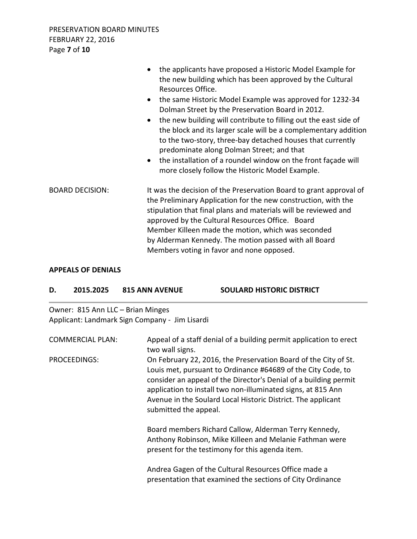|                        | the applicants have proposed a Historic Model Example for<br>the new building which has been approved by the Cultural<br>Resources Office.<br>the same Historic Model Example was approved for 1232-34<br>$\bullet$<br>Dolman Street by the Preservation Board in 2012.<br>the new building will contribute to filling out the east side of<br>$\bullet$<br>the block and its larger scale will be a complementary addition<br>to the two-story, three-bay detached houses that currently<br>predominate along Dolman Street; and that<br>the installation of a roundel window on the front façade will<br>$\bullet$<br>more closely follow the Historic Model Example. |
|------------------------|-------------------------------------------------------------------------------------------------------------------------------------------------------------------------------------------------------------------------------------------------------------------------------------------------------------------------------------------------------------------------------------------------------------------------------------------------------------------------------------------------------------------------------------------------------------------------------------------------------------------------------------------------------------------------|
| <b>BOARD DECISION:</b> | It was the decision of the Preservation Board to grant approval of<br>the Preliminary Application for the new construction, with the<br>stipulation that final plans and materials will be reviewed and<br>approved by the Cultural Resources Office. Board<br>Member Killeen made the motion, which was seconded<br>by Alderman Kennedy. The motion passed with all Board<br>Members voting in favor and none opposed.                                                                                                                                                                                                                                                 |

### **APPEALS OF DENIALS**

| 2015.2025 | <b>815 ANN AVENUE</b> | <b>SOULARD HISTORIC DISTRICT</b> |
|-----------|-----------------------|----------------------------------|
|           |                       |                                  |

Owner: 815 Ann LLC – Brian Minges Applicant: Landmark Sign Company - Jim Lisardi

| <b>COMMERCIAL PLAN:</b> | Appeal of a staff denial of a building permit application to erect<br>two wall signs.                                                                                                                                                                                                                                                                        |
|-------------------------|--------------------------------------------------------------------------------------------------------------------------------------------------------------------------------------------------------------------------------------------------------------------------------------------------------------------------------------------------------------|
| PROCEEDINGS:            | On February 22, 2016, the Preservation Board of the City of St.<br>Louis met, pursuant to Ordinance #64689 of the City Code, to<br>consider an appeal of the Director's Denial of a building permit<br>application to install two non-illuminated signs, at 815 Ann<br>Avenue in the Soulard Local Historic District. The applicant<br>submitted the appeal. |
|                         | Board members Richard Callow, Alderman Terry Kennedy,<br>Anthony Robinson, Mike Killeen and Melanie Fathman were<br>present for the testimony for this agenda item.                                                                                                                                                                                          |
|                         | Andrea Gagen of the Cultural Resources Office made a<br>presentation that examined the sections of City Ordinance                                                                                                                                                                                                                                            |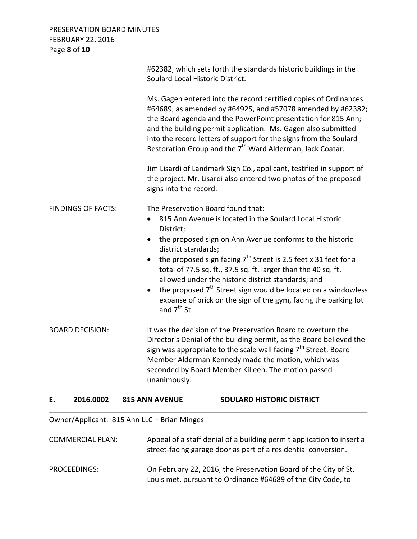### PRESERVATION BOARD MINUTES FEBRUARY 22, 2016 Page **8** of **10**

|                           | Soulard Local Historic District.                                                            | #62382, which sets forth the standards historic buildings in the                                                                                                                                                                                                                                                                                                                                                                                                                             |
|---------------------------|---------------------------------------------------------------------------------------------|----------------------------------------------------------------------------------------------------------------------------------------------------------------------------------------------------------------------------------------------------------------------------------------------------------------------------------------------------------------------------------------------------------------------------------------------------------------------------------------------|
|                           |                                                                                             | Ms. Gagen entered into the record certified copies of Ordinances<br>#64689, as amended by #64925, and #57078 amended by #62382;<br>the Board agenda and the PowerPoint presentation for 815 Ann;<br>and the building permit application. Ms. Gagen also submitted<br>into the record letters of support for the signs from the Soulard<br>Restoration Group and the 7 <sup>th</sup> Ward Alderman, Jack Coatar.                                                                              |
|                           | signs into the record.                                                                      | Jim Lisardi of Landmark Sign Co., applicant, testified in support of<br>the project. Mr. Lisardi also entered two photos of the proposed                                                                                                                                                                                                                                                                                                                                                     |
| <b>FINDINGS OF FACTS:</b> | $\bullet$<br>District;<br>$\bullet$<br>district standards;<br>$\bullet$<br>and $7^{th}$ St. | The Preservation Board found that:<br>815 Ann Avenue is located in the Soulard Local Historic<br>the proposed sign on Ann Avenue conforms to the historic<br>the proposed sign facing $7th$ Street is 2.5 feet x 31 feet for a<br>total of 77.5 sq. ft., 37.5 sq. ft. larger than the 40 sq. ft.<br>allowed under the historic district standards; and<br>the proposed $7th$ Street sign would be located on a windowless<br>expanse of brick on the sign of the gym, facing the parking lot |
| <b>BOARD DECISION:</b>    | unanimously.                                                                                | It was the decision of the Preservation Board to overturn the<br>Director's Denial of the building permit, as the Board believed the<br>sign was appropriate to the scale wall facing 7 <sup>th</sup> Street. Board<br>Member Alderman Kennedy made the motion, which was<br>seconded by Board Member Killeen. The motion passed                                                                                                                                                             |
| 2016.0002<br>Е.           | <b>815 ANN AVENUE</b>                                                                       | <b>SOULARD HISTORIC DISTRICT</b>                                                                                                                                                                                                                                                                                                                                                                                                                                                             |

Owner/Applicant: 815 Ann LLC – Brian Minges

| <b>COMMERCIAL PLAN:</b> | Appeal of a staff denial of a building permit application to insert a<br>street-facing garage door as part of a residential conversion. |
|-------------------------|-----------------------------------------------------------------------------------------------------------------------------------------|
| PROCEEDINGS:            | On February 22, 2016, the Preservation Board of the City of St.<br>Louis met, pursuant to Ordinance #64689 of the City Code, to         |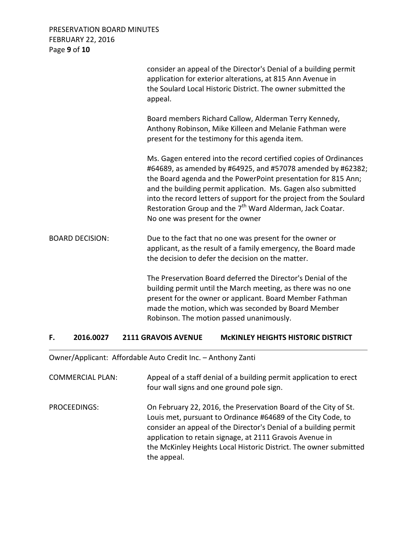### PRESERVATION BOARD MINUTES FEBRUARY 22, 2016 Page **9** of **10**

|                        | consider an appeal of the Director's Denial of a building permit<br>application for exterior alterations, at 815 Ann Avenue in<br>the Soulard Local Historic District. The owner submitted the<br>appeal.                                                                                                                                                                                                                                             |
|------------------------|-------------------------------------------------------------------------------------------------------------------------------------------------------------------------------------------------------------------------------------------------------------------------------------------------------------------------------------------------------------------------------------------------------------------------------------------------------|
|                        | Board members Richard Callow, Alderman Terry Kennedy,<br>Anthony Robinson, Mike Killeen and Melanie Fathman were<br>present for the testimony for this agenda item.                                                                                                                                                                                                                                                                                   |
|                        | Ms. Gagen entered into the record certified copies of Ordinances<br>#64689, as amended by #64925, and #57078 amended by #62382;<br>the Board agenda and the PowerPoint presentation for 815 Ann;<br>and the building permit application. Ms. Gagen also submitted<br>into the record letters of support for the project from the Soulard<br>Restoration Group and the 7 <sup>th</sup> Ward Alderman, Jack Coatar.<br>No one was present for the owner |
| <b>BOARD DECISION:</b> | Due to the fact that no one was present for the owner or<br>applicant, as the result of a family emergency, the Board made<br>the decision to defer the decision on the matter.                                                                                                                                                                                                                                                                       |
|                        | The Preservation Board deferred the Director's Denial of the<br>building permit until the March meeting, as there was no one<br>present for the owner or applicant. Board Member Fathman<br>made the motion, which was seconded by Board Member<br>Robinson. The motion passed unanimously.                                                                                                                                                           |

**F. 2016.0027 2111 GRAVOIS AVENUE McKINLEY HEIGHTS HISTORIC DISTRICT** 

Owner/Applicant: Affordable Auto Credit Inc. – Anthony Zanti

| <b>COMMERCIAL PLAN:</b> | Appeal of a staff denial of a building permit application to erect<br>four wall signs and one ground pole sign.                                                                                                                                                                                                                                     |
|-------------------------|-----------------------------------------------------------------------------------------------------------------------------------------------------------------------------------------------------------------------------------------------------------------------------------------------------------------------------------------------------|
| PROCEEDINGS:            | On February 22, 2016, the Preservation Board of the City of St.<br>Louis met, pursuant to Ordinance #64689 of the City Code, to<br>consider an appeal of the Director's Denial of a building permit<br>application to retain signage, at 2111 Gravois Avenue in<br>the McKinley Heights Local Historic District. The owner submitted<br>the appeal. |